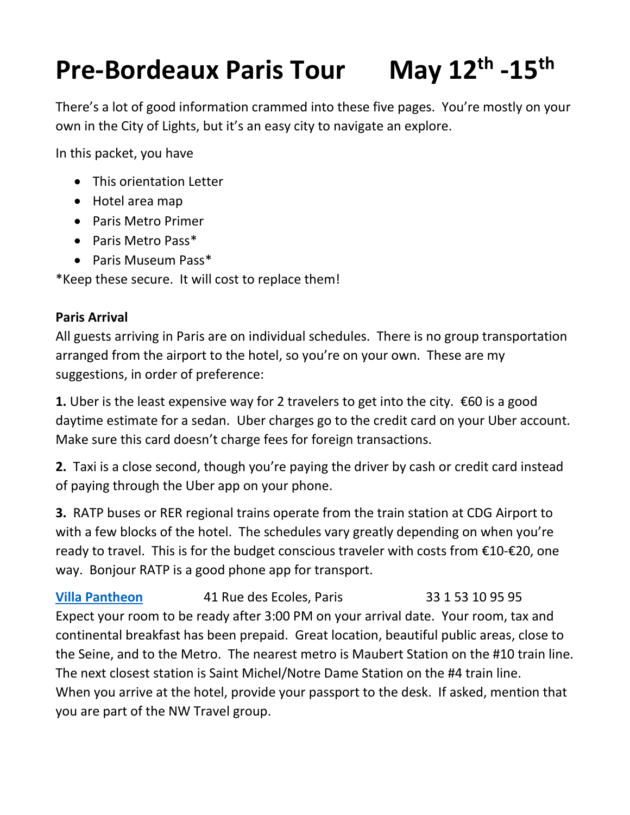## **Pre-Bordeaux Paris Tour -15th**

There's a lot of good information crammed into these five pages. You're mostly on your own in the City of Lights, but it's an easy city to navigate an explore.

In this packet, you have

- This orientation Letter
- Hotel area map
- Paris Metro Primer
- Paris Metro Pass\*
- Paris Museum Pass\*

\*Keep these secure. It will cost to replace them!

## **Paris Arrival**

All guests arriving in Paris are on individual schedules. There is no group transportation arranged from the airport to the hotel, so you're on your own. These are my suggestions, in order of preference:

1. Uber is the least expensive way for 2 travelers to get into the city. €60 is a good daytime estimate for a sedan. Uber charges go to the credit card on your Uber account. Make sure this card doesn't charge fees for foreign transactions.

**2.** Taxi is a close second, though you're paying the driver by cash or credit card instead of paying through the Uber app on your phone.

**3.** RATP buses or RER regional trains operate from the train station at CDG Airport to with a few blocks of the hotel. The schedules vary greatly depending on when you're ready to travel. This is for the budget conscious traveler with costs from  $\epsilon$ 10- $\epsilon$ 20, one way. Bonjour RATP is a good phone app for transport.

**[Villa Pantheon](https://www.villa-pantheon.com/)** 41 Rue des Ecoles, Paris 33 1 53 10 95 95 Expect your room to be ready after 3:00 PM on your arrival date. Your room, tax and continental breakfast has been prepaid. Great location, beautiful public areas, close to the Seine, and to the Metro. The nearest metro is Maubert Station on the #10 train line. The next closest station is Saint Michel/Notre Dame Station on the #4 train line. When you arrive at the hotel, provide your passport to the desk. If asked, mention that you are part of the NW Travel group.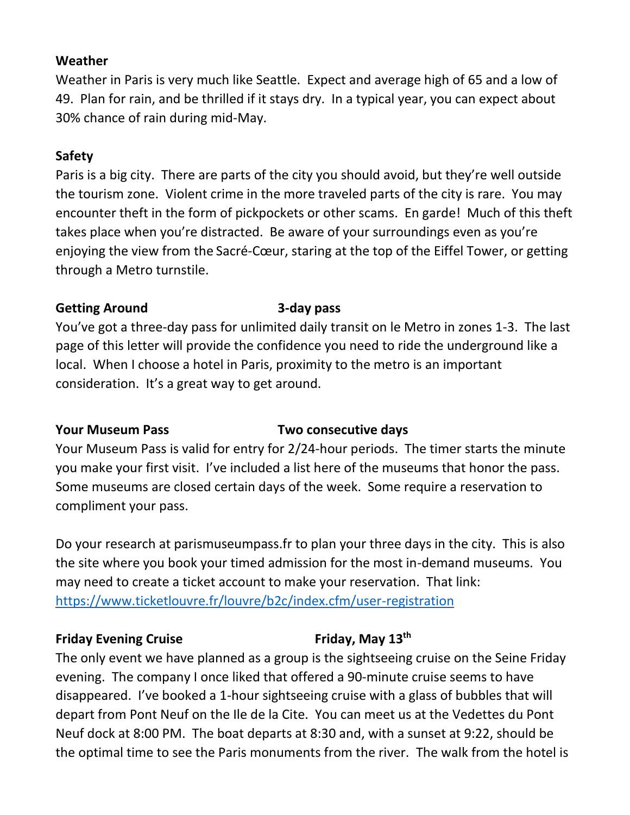## **Weather**

Weather in Paris is very much like Seattle. Expect and average high of 65 and a low of 49. Plan for rain, and be thrilled if it stays dry. In a typical year, you can expect about 30% chance of rain during mid-May.

## **Safety**

Paris is a big city. There are parts of the city you should avoid, but they're well outside the tourism zone. Violent crime in the more traveled parts of the city is rare. You may encounter theft in the form of pickpockets or other scams. En garde! Much of this theft takes place when you're distracted. Be aware of your surroundings even as you're enjoying the view from the Sacré-Cœur, staring at the top of the Eiffel Tower, or getting through a Metro turnstile.

## **Getting Around 3-day pass**

You've got a three-day pass for unlimited daily transit on le Metro in zones 1-3. The last page of this letter will provide the confidence you need to ride the underground like a local. When I choose a hotel in Paris, proximity to the metro is an important consideration. It's a great way to get around.

## **Your Museum Pass Two consecutive days**

Your Museum Pass is valid for entry for 2/24-hour periods. The timer starts the minute you make your first visit. I've included a list here of the museums that honor the pass. Some museums are closed certain days of the week. Some require a reservation to compliment your pass.

Do your research at parismuseumpass.fr to plan your three days in the city. This is also the site where you book your timed admission for the most in-demand museums. You may need to create a ticket account to make your reservation. That link: <https://www.ticketlouvre.fr/louvre/b2c/index.cfm/user-registration>

## **Friday Evening Cruise Friday, May 13th**

The only event we have planned as a group is the sightseeing cruise on the Seine Friday evening. The company I once liked that offered a 90-minute cruise seems to have disappeared. I've booked a 1-hour sightseeing cruise with a glass of bubbles that will depart from Pont Neuf on the Ile de la Cite. You can meet us at the Vedettes du Pont Neuf dock at 8:00 PM. The boat departs at 8:30 and, with a sunset at 9:22, should be the optimal time to see the Paris monuments from the river. The walk from the hotel is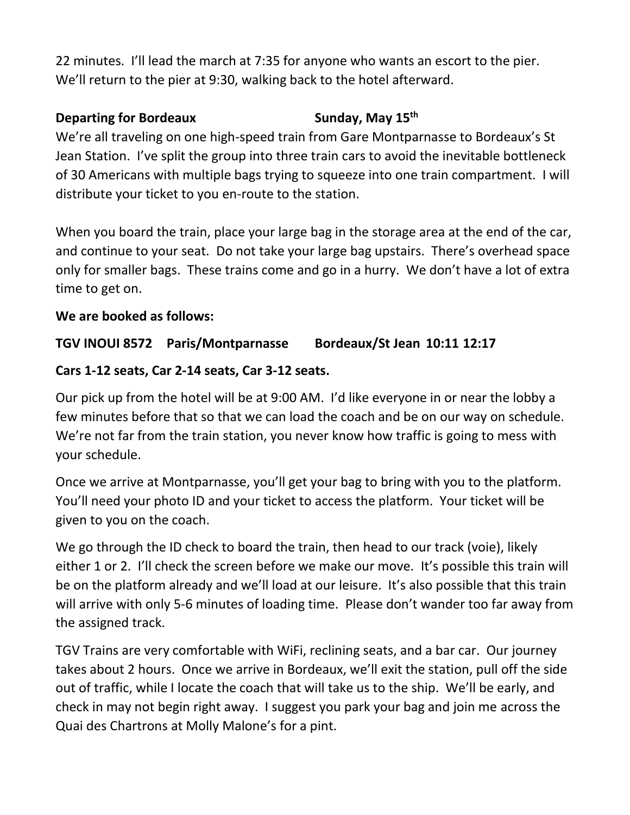22 minutes. I'll lead the march at 7:35 for anyone who wants an escort to the pier. We'll return to the pier at 9:30, walking back to the hotel afterward.

## **Departing for Bordeaux Sunday, May 15<sup>th</sup>**

We're all traveling on one high-speed train from Gare Montparnasse to Bordeaux's St Jean Station. I've split the group into three train cars to avoid the inevitable bottleneck of 30 Americans with multiple bags trying to squeeze into one train compartment. I will distribute your ticket to you en-route to the station.

When you board the train, place your large bag in the storage area at the end of the car, and continue to your seat. Do not take your large bag upstairs. There's overhead space only for smaller bags. These trains come and go in a hurry. We don't have a lot of extra time to get on.

# **We are booked as follows:**

# **TGV INOUI 8572 Paris/Montparnasse Bordeaux/St Jean 10:11 12:17**

# **Cars 1-12 seats, Car 2-14 seats, Car 3-12 seats.**

Our pick up from the hotel will be at 9:00 AM. I'd like everyone in or near the lobby a few minutes before that so that we can load the coach and be on our way on schedule. We're not far from the train station, you never know how traffic is going to mess with your schedule.

Once we arrive at Montparnasse, you'll get your bag to bring with you to the platform. You'll need your photo ID and your ticket to access the platform. Your ticket will be given to you on the coach.

We go through the ID check to board the train, then head to our track (voie), likely either 1 or 2. I'll check the screen before we make our move. It's possible this train will be on the platform already and we'll load at our leisure. It's also possible that this train will arrive with only 5-6 minutes of loading time. Please don't wander too far away from the assigned track.

TGV Trains are very comfortable with WiFi, reclining seats, and a bar car. Our journey takes about 2 hours. Once we arrive in Bordeaux, we'll exit the station, pull off the side out of traffic, while I locate the coach that will take us to the ship. We'll be early, and check in may not begin right away. I suggest you park your bag and join me across the Quai des Chartrons at Molly Malone's for a pint.